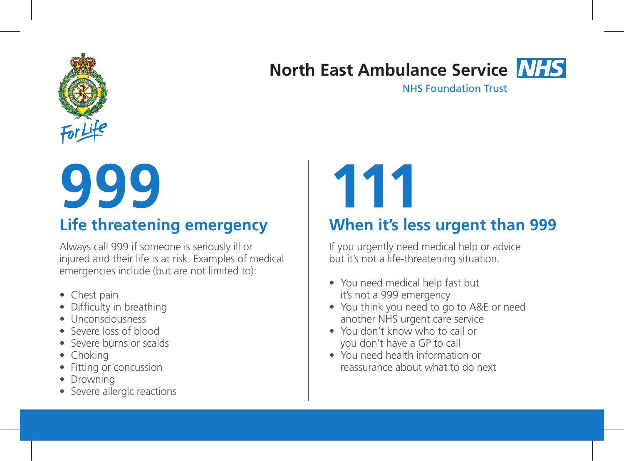

# **North East Ambulance Service**

NHS Foundation Trust

# **999**<br>Life threatening emergency When it's le

Always call 999 if someone is seriously ill or injured and their life is at risk. Examples of medical emergencies include (but are not limited to):

- Chest pain
- Difficulty in breathing
- Unconsciousness
- Severe loss of blood
- Severe burns or scalds
- Choking
- Fitting or concussion
- Drowning
- Severe allergic reactions

## **When it's less urgent than 999**

If you urgently need medical help or advice but it's not a life-threatening situation.

- You need medical help fast but it's not a 999 emergency
- You think you need to go to A&E or need another NHS urgent care service
- You don't know who to call or you don't have a GP to call
- You need health information or reassurance about what to do next